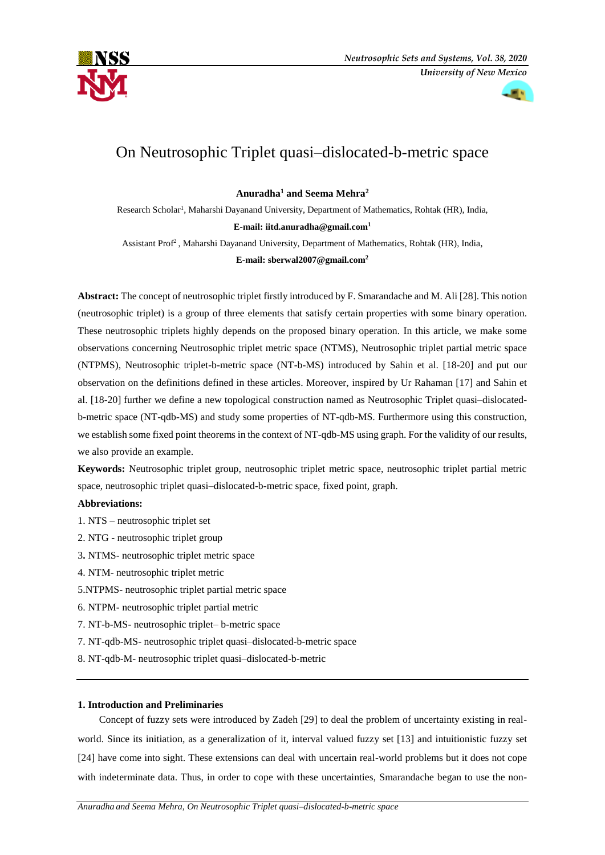



# On Neutrosophic Triplet quasi–dislocated-b-metric space

**Anuradha<sup>1</sup> and Seema Mehra<sup>2</sup>**

Research Scholar<sup>1</sup>, Maharshi Dayanand University, Department of Mathematics, Rohtak (HR), India, **E-mail: [iitd.anuradha@gmail.com](mailto:iitd.anuradha@gmail.com1)<sup>1</sup>**

Assistant Prof<sup>2</sup>, Maharshi Dayanand University, Department of Mathematics, Rohtak (HR), India, **E-mail: sberwal2007@gmail.com<sup>2</sup>**

# **Abstract:** The concept of neutrosophic triplet firstly introduced by F. Smarandache and M. Ali [28]. This notion (neutrosophic triplet) is a group of three elements that satisfy certain properties with some binary operation. These neutrosophic triplets highly depends on the proposed binary operation. In this article, we make some observations concerning Neutrosophic triplet metric space (NTMS), Neutrosophic triplet partial metric space (NTPMS), Neutrosophic triplet-b-metric space (NT-b-MS) introduced by Sahin et al. [18-20] and put our observation on the definitions defined in these articles. Moreover, inspired by Ur Rahaman [17] and Sahin et al. [18-20] further we define a new topological construction named as Neutrosophic Triplet quasi–dislocatedb-metric space (NT-qdb-MS) and study some properties of NT-qdb-MS. Furthermore using this construction, we establish some fixed point theorems in the context of NT-qdb-MS using graph. For the validity of our results, we also provide an example.

**Keywords:** Neutrosophic triplet group, neutrosophic triplet metric space, neutrosophic triplet partial metric space, neutrosophic triplet quasi–dislocated-b-metric space, fixed point, graph.

### **Abbreviations:**

1. NTS – neutrosophic triplet set

- 2. NTG neutrosophic triplet group
- 3**.** NTMS- neutrosophic triplet metric space
- 4. NTM- neutrosophic triplet metric
- 5.NTPMS- neutrosophic triplet partial metric space
- 6. NTPM- neutrosophic triplet partial metric
- 7. NT-b-MS- neutrosophic triplet– b-metric space
- 7. NT-qdb-MS- neutrosophic triplet quasi–dislocated-b-metric space
- 8. NT-qdb-M- neutrosophic triplet quasi–dislocated-b-metric

#### **1. Introduction and Preliminaries**

Concept of fuzzy sets were introduced by Zadeh [29] to deal the problem of uncertainty existing in realworld. Since its initiation, as a generalization of it, interval valued fuzzy set [13] and intuitionistic fuzzy set [24] have come into sight. These extensions can deal with uncertain real-world problems but it does not cope with indeterminate data. Thus, in order to cope with these uncertainties, Smarandache began to use the non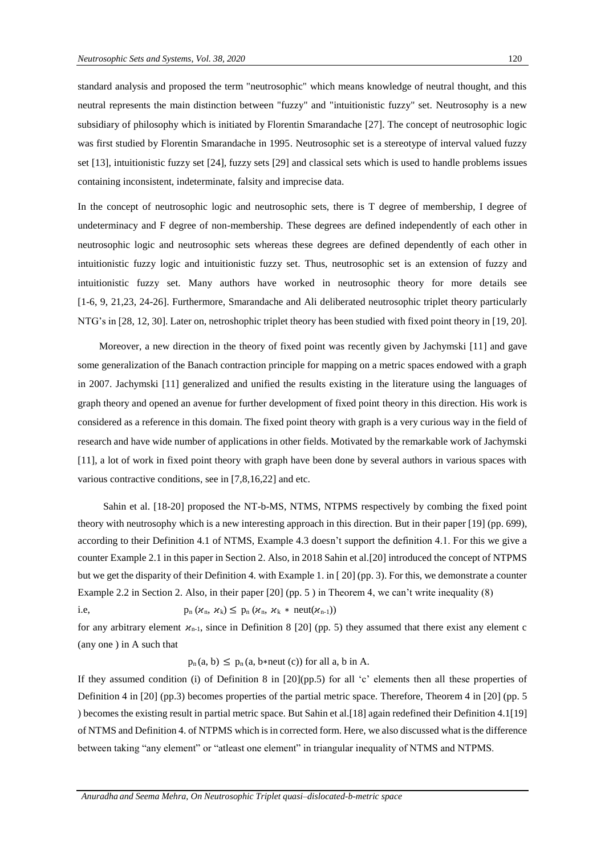standard analysis and proposed the term "neutrosophic" which means knowledge of neutral thought, and this neutral represents the main distinction between "fuzzy" and "intuitionistic fuzzy" set. Neutrosophy is a new subsidiary of philosophy which is initiated by Florentin Smarandache [27]. The concept of neutrosophic logic was first studied by Florentin Smarandache in 1995. Neutrosophic set is a stereotype of interval valued fuzzy set [13], intuitionistic fuzzy set [24], fuzzy sets [29] and classical sets which is used to handle problems issues containing inconsistent, indeterminate, falsity and imprecise data.

In the concept of neutrosophic logic and neutrosophic sets, there is T degree of membership, I degree of undeterminacy and F degree of non-membership. These degrees are defined independently of each other in neutrosophic logic and neutrosophic sets whereas these degrees are defined dependently of each other in intuitionistic fuzzy logic and intuitionistic fuzzy set. Thus, neutrosophic set is an extension of fuzzy and intuitionistic fuzzy set. Many authors have worked in neutrosophic theory for more details see [1-6, 9, 21,23, 24-26]. Furthermore, Smarandache and Ali deliberated neutrosophic triplet theory particularly NTG's in [28, 12, 30]. Later on, netroshophic triplet theory has been studied with fixed point theory in [19, 20].

Moreover, a new direction in the theory of fixed point was recently given by Jachymski [11] and gave some generalization of the Banach contraction principle for mapping on a metric spaces endowed with a graph in 2007. Jachymski [11] generalized and unified the results existing in the literature using the languages of graph theory and opened an avenue for further development of fixed point theory in this direction. His work is considered as a reference in this domain. The fixed point theory with graph is a very curious way in the field of research and have wide number of applications in other fields. Motivated by the remarkable work of Jachymski [11], a lot of work in fixed point theory with graph have been done by several authors in various spaces with various contractive conditions, see in [7,8,16,22] and etc.

Sahin et al. [18-20] proposed the NT-b-MS, NTMS, NTPMS respectively by combing the fixed point theory with neutrosophy which is a new interesting approach in this direction. But in their paper [19] (pp. 699), according to their Definition 4.1 of NTMS, Example 4.3 doesn't support the definition 4.1. For this we give a counter Example 2.1 in this paper in Section 2. Also, in 2018 Sahin et al.[20] introduced the concept of NTPMS but we get the disparity of their Definition 4. with Example 1. in [ 20] (pp. 3). For this, we demonstrate a counter Example 2.2 in Section 2. Also, in their paper [20] (pp. 5 ) in Theorem 4, we can't write inequality (8) i.e,  $p_n(\mathcal{X}_n, \mathcal{X}_k) \leq p_n(\mathcal{X}_n, \mathcal{X}_k * \text{neut}(\mathcal{X}_{n-1}))$ 

for any arbitrary element  $x_{n-1}$ , since in Definition 8 [20] (pp. 5) they assumed that there exist any element c (any one ) in A such that

 $p_n(a, b) \leq p_n(a, b \text{+neut (c))}$  for all a, b in A.

If they assumed condition (i) of Definition 8 in [20](pp.5) for all 'c' elements then all these properties of Definition 4 in [20] (pp.3) becomes properties of the partial metric space. Therefore, Theorem 4 in [20] (pp. 5 ) becomes the existing result in partial metric space. But Sahin et al.[18] again redefined their Definition 4.1[19] of NTMS and Definition 4. of NTPMS which is in corrected form. Here, we also discussed what is the difference between taking "any element" or "atleast one element" in triangular inequality of NTMS and NTPMS.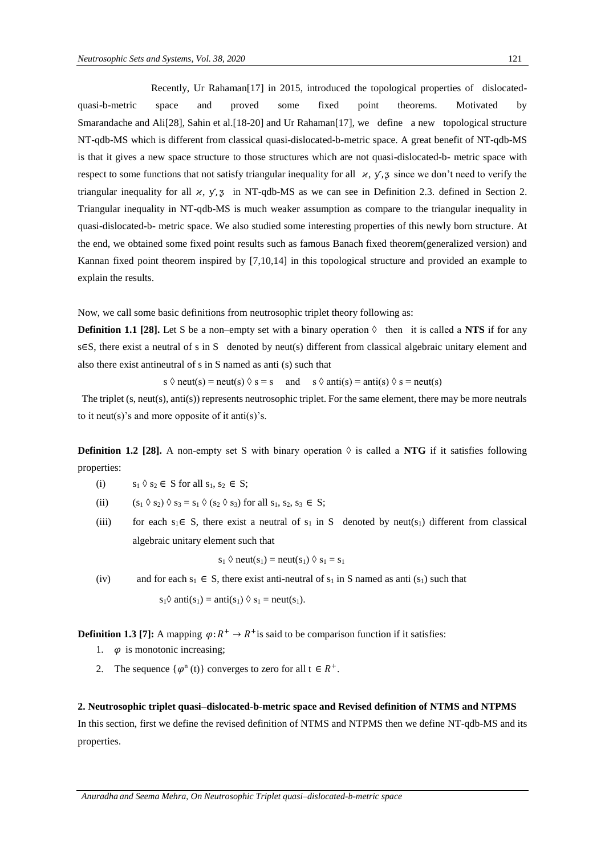Recently, Ur Rahaman[17] in 2015, introduced the topological properties of dislocatedquasi-b-metric space and proved some fixed point theorems. Motivated Smarandache and Ali[28], Sahin et al.[18-20] and Ur Rahaman[17], we define a new topological structure NT-qdb-MS which is different from classical quasi-dislocated-b-metric space. A great benefit of NT-qdb-MS is that it gives a new space structure to those structures which are not quasi-dislocated-b- metric space with respect to some functions that not satisfy triangular inequality for all  $\alpha$ ,  $\gamma$ ,  $\alpha$  since we don't need to verify the triangular inequality for all  $x$ ,  $y$ ,  $z$  in NT-qdb-MS as we can see in Definition 2.3. defined in Section 2. Triangular inequality in NT-qdb-MS is much weaker assumption as compare to the triangular inequality in quasi-dislocated-b- metric space. We also studied some interesting properties of this newly born structure. At the end, we obtained some fixed point results such as famous Banach fixed theorem(generalized version) and Kannan fixed point theorem inspired by [7,10,14] in this topological structure and provided an example to explain the results.

Now, we call some basic definitions from neutrosophic triplet theory following as:

**Definition 1.1 [28].** Let S be a non–empty set with a binary operation  $\Diamond$  then it is called a **NTS** if for any s∈S, there exist a neutral of s in S denoted by neut(s) different from classical algebraic unitary element and also there exist antineutral of s in S named as anti (s) such that

s  $\Diamond$  neut(s) = neut(s)  $\Diamond$  s = s and s  $\Diamond$  anti(s) = anti(s)  $\Diamond$  s = neut(s)

The triplet (s, neut(s), anti(s)) represents neutrosophic triplet. For the same element, there may be more neutrals to it neut(s)'s and more opposite of it anti(s)'s.

**Definition 1.2 [28].** A non-empty set S with binary operation  $\Diamond$  is called a **NTG** if it satisfies following properties:

- (i)  $s_1 \lozenge s_2 \in S$  for all  $s_1, s_2 \in S$ ;
- (ii)  $(s_1 \lozenge s_2) \lozenge s_3 = s_1 \lozenge (s_2 \lozenge s_3)$  for all  $s_1, s_2, s_3 \in S$ ;
- (iii) for each  $s_1 \in S$ , there exist a neutral of  $s_1$  in S denoted by neut( $s_1$ ) different from classical algebraic unitary element such that

$$
s_1 \Diamond \text{neut}(s_1) = \text{neut}(s_1) \Diamond s_1 = s_1
$$

(iv) and for each  $s_1 \in S$ , there exist anti-neutral of  $s_1$  in S named as anti  $(s_1)$  such that

$$
s_1 \lozenge
$$
 anti $(s_1)$  = anti $(s_1) \lozenge s_1$  = neut $(s_1)$ .

**Definition 1.3 [7]:** A mapping  $\varphi: R^+ \to R^+$  is said to be comparison function if it satisfies:

- 1.  $\varphi$  is monotonic increasing;
- 2. The sequence  $\{\varphi^n(t)\}$  converges to zero for all  $t \in R^+$ .

#### **2. Neutrosophic triplet quasi–dislocated-b-metric space and Revised definition of NTMS and NTPMS**

In this section, first we define the revised definition of NTMS and NTPMS then we define NT-qdb-MS and its properties.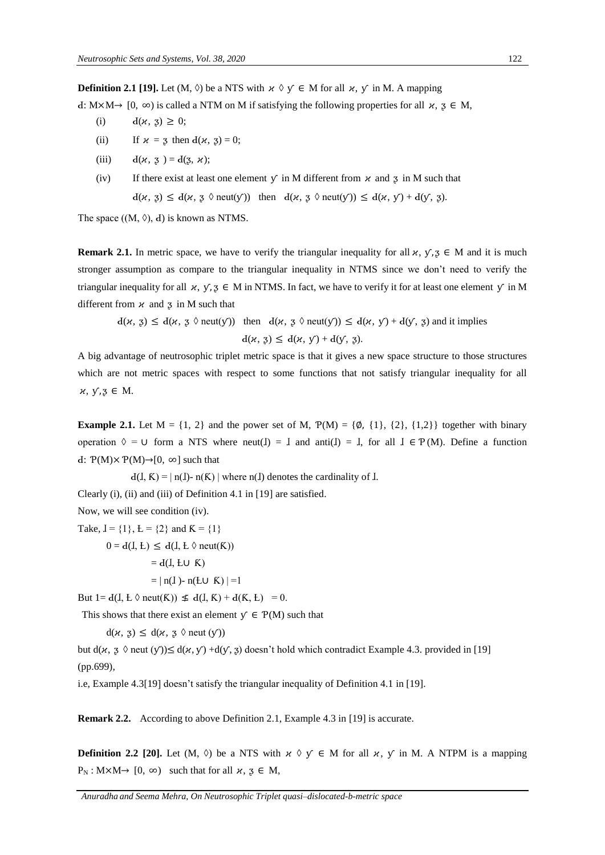**Definition 2.1 [19].** Let  $(M, \Diamond)$  be a NTS with  $\forall \Diamond \Diamond \in M$  for all  $\forall x, y \in M$ . A mapping

d: M×M→ [0, ∞) is called a NTM on M if satisfying the following properties for all  $\alpha$ ,  $\beta \in M$ ,

- (i)  $d(\varkappa, 3) \geq 0;$
- (ii) If  $x = 3$  then  $d(x, 3) = 0$ ;
- (iii)  $d(x, 3) = d(3, x);$
- (iv) If there exist at least one element  $\gamma$  in M different from  $\alpha$  and  $\alpha$  in M such that  $d(x, 3) \leq d(x, 3 \text{ \& } \text{neut}(y))$  then  $d(x, 3 \text{ \& } \text{neut}(y)) \leq d(x, y) + d(y, 3)$ .

The space  $((M, \Diamond), d)$  is known as NTMS.

**Remark 2.1.** In metric space, we have to verify the triangular inequality for all  $\alpha$ ,  $\gamma$ ,  $\beta \in M$  and it is much stronger assumption as compare to the triangular inequality in NTMS since we don't need to verify the triangular inequality for all  $\chi$ ,  $\gamma$ ,  $\chi \in M$  in NTMS. In fact, we have to verify it for at least one element  $\gamma$  in M different from  $\alpha$  and  $\beta$  in M such that

 $d(x, y) \leq d(x, y \text{ } \text{neut}(y))$  then  $d(x, y \text{ } \text{neut}(y)) \leq d(x, y) + d(y, y)$  and it implies  $d(\varkappa, 3) \leq d(\varkappa, \sqrt{1}) + d(\sqrt{1}, 3).$ 

A big advantage of neutrosophic triplet metric space is that it gives a new space structure to those structures which are not metric spaces with respect to some functions that not satisfy triangular inequality for all  $x, y, z \in M$ .

**Example 2.1.** Let  $M = \{1, 2\}$  and the power set of M,  $P(M) = \{\emptyset, \{1\}, \{2\}, \{1,2\}\}\$  together with binary operation  $\Diamond = \cup$  form a NTS where neut(I) = I and anti(I) = I, for all  $I \in \mathcal{P}(M)$ . Define a function  $\text{d}: \mathcal{P}(\text{M}) \times \mathcal{P}(\text{M}) \rightarrow [0, \infty]$  such that

 $d(I, K) = | n(I) - n(K) |$  where  $n(I)$  denotes the cardinality of  $I$ .

Clearly (i), (ii) and (iii) of Definition 4.1 in [19] are satisfied.

Now, we will see condition (iv).

- Take,  $I = \{1\}$ ,  $L = \{2\}$  and  $K = \{1\}$  $0 = d(I, E) \leq d(I, E \lozenge \text{neut}(K))$  $= d(I, LU K)$ 
	- $= | n(I) n(E \cup K) | = 1$

But  $1 = d(I, E \lozenge \text{neut}(K)) \nleq d(I, K) + d(K, E) = 0.$ 

This shows that there exist an element  $\mathbf{y} \in \mathcal{P}(\mathbf{M})$  such that

 $d(x, 3) \leq d(x, 3 \text{ }\theta \text{ neut}(y))$ 

but  $d(x, 3 \text{·neut } (y)) \leq d(x, y) + d(y, 3)$  doesn't hold which contradict Example 4.3. provided in [19] (pp.699),

i.e, Example 4.3[19] doesn't satisfy the triangular inequality of Definition 4.1 in [19].

**Remark 2.2.** According to above Definition 2.1, Example 4.3 in [19] is accurate.

**Definition 2.2 [20].** Let  $(M, \Diamond)$  be a NTS with  $\forall \Diamond \forall \in M$  for all  $\forall \forall$ ,  $\forall$  in M. A NTPM is a mapping  $P_N$ :  $M \times M \rightarrow [0, \infty)$  such that for all  $\kappa$ ,  $\zeta \in M$ ,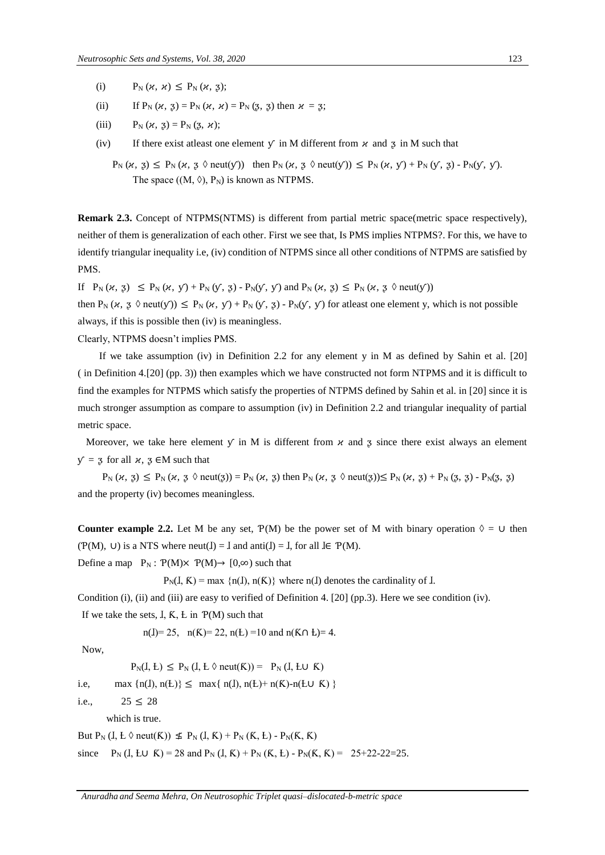- (i)  $P_N(\varkappa, \varkappa) \leq P_N(\varkappa, 3);$
- (ii) If  $P_N (\alpha, \beta) = P_N (\alpha, \alpha) = P_N (3, \beta)$  then  $\alpha = 3$ ;
- (iii)  $P_N(\varkappa, 3) = P_N(3, \varkappa);$
- (iv) If there exist at least one element  $\gamma$  in M different from  $\alpha$  and  $\beta$  in M such that
	- $P_N$   $(\varkappa, 3) \leq P_N$   $(\varkappa, 3 \lozenge \text{neut}(y))$  then  $P_N$   $(\varkappa, 3 \lozenge \text{neut}(y)) \leq P_N$   $(\varkappa, y) + P_N$   $(y, 3) P_N(y, y)$ . The space  $((M, \Diamond), P_N)$  is known as NTPMS.

**Remark 2.3.** Concept of NTPMS(NTMS) is different from partial metric space(metric space respectively), neither of them is generalization of each other. First we see that, Is PMS implies NTPMS?. For this, we have to identify triangular inequality i.e, (iv) condition of NTPMS since all other conditions of NTPMS are satisfied by PMS.

If  $P_N (x, 3) \leq P_N (x, y') + P_N (y', 3) - P_N (y', y')$  and  $P_N (x, 3) \leq P_N (x, 3 \lozenge \text{neut}(y'))$ 

then  $P_N (x, 3 \text{ or } n(u, y)) \leq P_N (x, y) + P_N (y, 3) - P_N (y, y)$  for at least one element y, which is not possible always, if this is possible then (iv) is meaningless.

Clearly, NTPMS doesn't implies PMS.

If we take assumption (iv) in Definition 2.2 for any element y in M as defined by Sahin et al. [20] ( in Definition 4.[20] (pp. 3)) then examples which we have constructed not form NTPMS and it is difficult to find the examples for NTPMS which satisfy the properties of NTPMS defined by Sahin et al. in [20] since it is much stronger assumption as compare to assumption (iv) in Definition 2.2 and triangular inequality of partial metric space.

Moreover, we take here element  $\gamma$  in M is different from  $\kappa$  and  $\alpha$  since there exist always an element  $y = 3$  for all  $x, 3 \in M$  such that

 $P_N (\mu, g) \leq P_N (\mu, g \text{ } \text{neut}(g)) = P_N (\mu, g)$  then  $P_N (\mu, g \text{ } \text{neut}(g)) \leq P_N (\mu, g) + P_N (g, g) - P_N (g, g)$ and the property (iv) becomes meaningless.

**Counter example 2.2.** Let M be any set,  $P(M)$  be the power set of M with binary operation  $\Diamond = \cup$  then  $(\mathcal{P}(M), U)$  is a NTS where neut( $I$ ) =  $I$  and anti( $I$ ) =  $I$ , for all  $I \in \mathcal{P}(M)$ .

Define a map  $P_N$ :  $P(M) \times P(M) \rightarrow [0,\infty)$  such that

 $P_N(I, K) = \max \{n(I), n(K)\}\$  where  $n(I)$  denotes the cardinality of  $I$ .

Condition (i), (ii) and (iii) are easy to verified of Definition 4. [20] (pp.3). Here we see condition (iv).

If we take the sets,  $I, K, E$  in  $P(M)$  such that

n(J)= 25, n(K)= 22, n(L) =10 and n(K∩ L)= 4.

Now,

 $P_N(I, L) \leq P_N(I, L \land \text{neut}(K)) = P_N(I, L \cup K)$ 

i.e, max  $\{n(I), n(E)\}\leq \max\{n(I), n(E)+n(K)-n(E\cup K)\}\$ 

i.e.,  $25 \le 28$ 

which is true.

But  $P_N$  ( $I, L \lozenge$  neut $(K)$ )  $\leq P_N$  ( $I, K$ ) +  $P_N$  ( $K, L$ ) -  $P_N$ ( $K, K$ )

since  $P_N (I, L \cup K) = 28$  and  $P_N (I, K) + P_N (K, L) - P_N (K, K) = 25 + 22 - 22 = 25$ .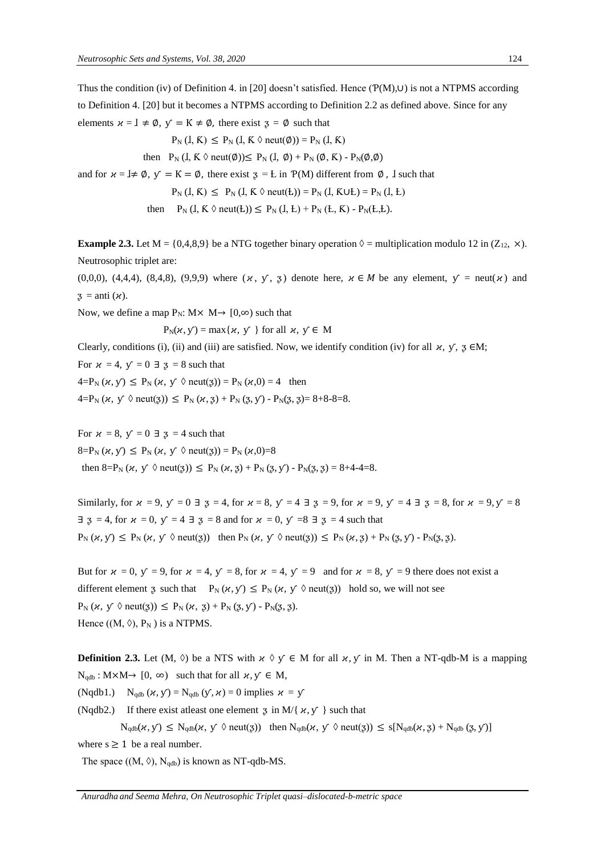Thus the condition (iv) of Definition 4. in [20] doesn't satisfied. Hence (Ƥ(M),∪) is not a NTPMS according to Definition 4. [20] but it becomes a NTPMS according to Definition 2.2 as defined above. Since for any elements  $x = I \neq \emptyset$ ,  $y = K \neq \emptyset$ , there exist  $z = \emptyset$  such that

$$
P_N (I, K) \le P_N (I, K \lozenge \text{neut}(\emptyset)) = P_N (I, K)
$$

then  $P_N (I, K \ \lozenge \text{neut}(\emptyset)) \leq P_N (I, \emptyset) + P_N (\emptyset, K) - P_N(\emptyset, \emptyset)$ 

and for  $x = \mathbb{I} \neq \emptyset$ ,  $y = \mathbb{K} = \emptyset$ , there exist  $\mathfrak{z} = \mathbb{L}$  in  $P(M)$  different from  $\emptyset$ , I such that

$$
P_N (I, K) \le P_N (I, K \lozenge \text{neut}(L)) = P_N (I, K \cup L) = P_N (I, L)
$$

then 
$$
P_N (I, K \lozenge \text{neut}(L)) \le P_N (I, L) + P_N (L, K) - P_N (L, L)
$$
.

**Example 2.3.** Let  $M = \{0,4,8,9\}$  be a NTG together binary operation  $\Diamond$  = multiplication modulo 12 in (Z<sub>12</sub>, ×). Neutrosophic triplet are:

 $(0,0,0)$ ,  $(4,4,4)$ ,  $(8,4,8)$ ,  $(9,9,9)$  where  $(\varkappa, \varkappa, \varkappa, \varkappa)$  denote here,  $\varkappa \in M$  be any element,  $\varkappa = \text{neut}(\varkappa)$  and  $\mathfrak{z} = \text{anti}(\varkappa).$ 

Now, we define a map  $P_N$ : M $\times$  M $\rightarrow$  [0, $\infty$ ) such that

$$
P_N(\varkappa, y) = \max\{\varkappa, y\}
$$
 for all  $\varkappa, y \in M$ 

Clearly, conditions (i), (ii) and (iii) are satisfied. Now, we identify condition (iv) for all  $\mu$ ,  $\gamma$ ,  $\bar{\chi} \in M$ ;

For  $x = 4$ ,  $y = 0 \exists 3 = 8$  such that

 $4= P_N(x, y) \le P_N(x, y \text{ \& } \text{neut}(3)) = P_N(x, 0) = 4$  then

 $4=P_N(x, y \text{ } \Diamond \text{neut}(3)) \leq P_N(x, 3) + P_N(3, y) - P_N(3, 3) = 8+8-8=8.$ 

For  $x = 8$ ,  $y = 0 \exists \; z = 4$  such that  $8=P_N(x, y) \le P_N(x, y \text{ } \Diamond \text{neut}(3)) = P_N(x, 0) = 8$ then  $8 = P_N (x, y \land \text{neut}(3)) \le P_N (x, 3) + P_N (3, y) - P_N (3, 3) = 8 + 4 - 4 = 8.$ 

Similarly, for  $x = 9$ ,  $y' = 0 \exists \; 3 = 4$ , for  $x = 8$ ,  $y' = 4 \exists \; 3 = 9$ , for  $x = 9$ ,  $y' = 4 \exists \; 3 = 8$ , for  $x = 9$ ,  $y' = 8$  $\exists$   $\exists$   $= 4$ , for  $\varkappa = 0$ ,  $\varkappa = 4$   $\exists$   $\exists$   $= 8$  and for  $\varkappa = 0$ ,  $\varkappa = 8$   $\exists$   $\exists$   $= 4$  such that  $P_N(\varkappa, y) \leq P_N(\varkappa, y \land \text{neut}(\varkappa))$  then  $P_N(\varkappa, y \land \text{neut}(\varkappa)) \leq P_N(\varkappa, \varkappa) + P_N(\varkappa, \varkappa) - P_N(\varkappa, \varkappa)$ .

But for  $x = 0$ ,  $y = 9$ , for  $x = 4$ ,  $y = 8$ , for  $x = 4$ ,  $y = 9$  and for  $x = 8$ ,  $y = 9$  there does not exist a different element z such that  $P_N(x, y) \le P_N(x, y \land \text{neut}(x))$  hold so, we will not see  $P_N (\varkappa, y' \lozenge \text{neut}(3)) \le P_N (\varkappa, 3) + P_N (3, y') - P_N (3, 3).$ Hence  $((M, \Diamond), P_N)$  is a NTPMS.

**Definition 2.3.** Let  $(M, \Diamond)$  be a NTS with  $\chi \Diamond \chi \in M$  for all  $\chi, \chi$  in M. Then a NT-qdb-M is a mapping  $N_{\text{qdb}}$ : M×M→ [0, ∞) such that for all  $\chi, \gamma \in M$ ,

(Nqdb1.) N<sub>qdb</sub>  $(x, y) = N_{qdb} (y, x) = 0$  implies  $x = y$ 

(Nqdb2.) If there exist at least one element  $\bar{z}$  in M/{ $\bar{x}$ ,  $\bar{y}$ } such that

 $N_{\text{qdb}}(\varkappa, y) \leq N_{\text{qdb}}(\varkappa, y \lozenge \text{neut}(\varkappa))$  then  $N_{\text{qdb}}(\varkappa, y \lozenge \text{neut}(\varkappa)) \leq s[N_{\text{qdb}}(\varkappa, \varkappa) + N_{\text{qdb}}(\varkappa, y)]$ where  $s \geq 1$  be a real number.

The space  $((M, \Diamond), N_{qdb})$  is known as NT-qdb-MS.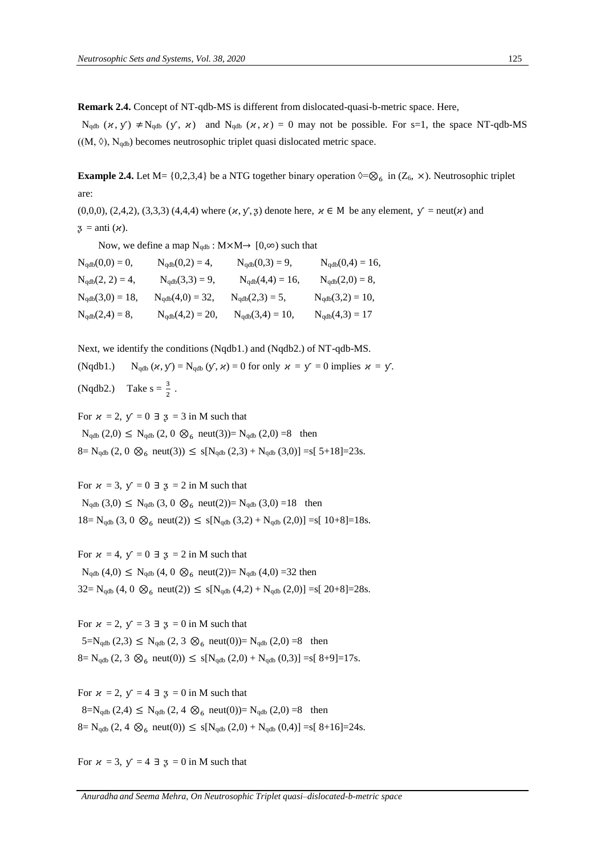**Remark 2.4.** Concept of NT-qdb-MS is different from dislocated-quasi-b-metric space. Here,

 $N_{\text{qdb}} (\chi, y) \neq N_{\text{qdb}} (y, \chi)$  and  $N_{\text{qdb}} (\chi, \chi) = 0$  may not be possible. For s=1, the space NT-qdb-MS  $((M, \Diamond), N_{qdb})$  becomes neutrosophic triplet quasi dislocated metric space.

**Example 2.4.** Let M= {0,2,3,4} be a NTG together binary operation  $\Diamond = \otimes_6$  in (Z<sub>6</sub>,  $\times$ ). Neutrosophic triplet are:

 $(0,0,0)$ ,  $(2,4,2)$ ,  $(3,3,3)$   $(4,4,4)$  where  $(\varkappa, \mathcal{Y}, 3)$  denote here,  $\varkappa \in M$  be any element,  $\mathcal{Y} = \text{neut}(\varkappa)$  and  $\mathfrak{z} = \text{anti}(\varkappa).$ 

Now, we define a map  $N_{qdb}$ : M×M→ [0, $\infty$ ) such that

| $N_{qdb}(0,0) = 0,$  | $N_{qdb}(0,2) = 4,$  | $N_{qdb}(0,3) = 9,$  | $N_{qdb}(0,4) = 16,$ |
|----------------------|----------------------|----------------------|----------------------|
| $N_{qdb}(2, 2) = 4,$ | $N_{qdb}(3,3) = 9,$  | $N_{qdb}(4,4) = 16,$ | $N_{qdb}(2,0) = 8,$  |
| $N_{qdb}(3,0) = 18,$ | $N_{qdb}(4,0) = 32,$ | $N_{qdb}(2,3) = 5,$  | $N_{qdb}(3,2) = 10,$ |
| $N_{qdb}(2,4) = 8,$  | $N_{qdb}(4,2) = 20,$ | $N_{qdb}(3,4) = 10,$ | $N_{qdb}(4,3) = 17$  |

Next, we identify the conditions (Nqdb1.) and (Nqdb2.) of NT-qdb-MS.

(Nqdb1.) N<sub>qdb</sub>  $(x, y) = N_{qdb} (y, x) = 0$  for only  $x = y = 0$  implies  $x = y$ . (Nqdb2.) Take  $s = \frac{3}{2}$ .

For  $x = 2$ ,  $y = 0 \exists \exists s = 3$  in M such that  $N_{qdb}$  (2,0)  $\leq N_{qdb}$  (2,0)  $\otimes$ <sub>6</sub> neut(3))=  $N_{qdb}$  (2,0) =8 then  $8=$  N<sub>qdb</sub> (2, 0  $\otimes$ <sub>6</sub> neut(3))  $\leq s[N_{qdb} (2,3) + N_{qdb} (3,0)] = s[5+18]=23s.$ 

For  $x = 3$ ,  $y = 0 \exists s = 2$  in M such that  $N_{qdb}$  (3,0)  $\leq N_{qdb}$  (3,0  $\otimes$ <sub>6</sub> neut(2))=  $N_{qdb}$  (3,0) =18 then  $18 = N_{qdb} (3, 0 \otimes_6 \text{neut}(2)) \le s[N_{qdb} (3,2) + N_{qdb} (2,0)] = s[10+8]=18s.$ 

For  $x = 4$ ,  $y = 0 \exists \exists s = 2$  in M such that  $N_{qdb}$  (4,0)  $\leq N_{qdb}$  (4, 0  $\otimes_{6}$  neut(2))=  $N_{qdb}$  (4,0) =32 then  $32 = N_{qdb} (4, 0 \otimes_6 \text{neut}(2)) \le s[N_{qdb} (4,2) + N_{qdb} (2,0)] = s[20+8] = 28s.$ 

For  $x = 2$ ,  $y = 3 \exists \exists s = 0$  in M such that  $5=N_{\text{adb}}(2,3) \leq N_{\text{adb}}(2,3) \otimes_{6} \text{neut}(0) = N_{\text{adb}}(2,0) = 8$  then  $8= N_{qdb} (2, 3 \otimes_6 \text{neut}(0)) \leq s[N_{qdb} (2,0) + N_{qdb} (0,3)] = s[8+9]=17s.$ 

For  $x = 2$ ,  $y = 4 \exists \, z = 0$  in M such that  $8=N_{qdb}$  (2,4)  $\leq N_{qdb}$  (2,4  $\otimes$ <sub>6</sub> neut(0))= N<sub>qdb</sub> (2,0) =8 then  $8= N_{qdb} (2, 4 \otimes_6 \text{neut}(0)) \leq s[N_{qdb} (2,0) + N_{qdb} (0,4)] = s[8+16]=24s.$ 

For  $x = 3$ ,  $y = 4 \exists 3 = 0$  in M such that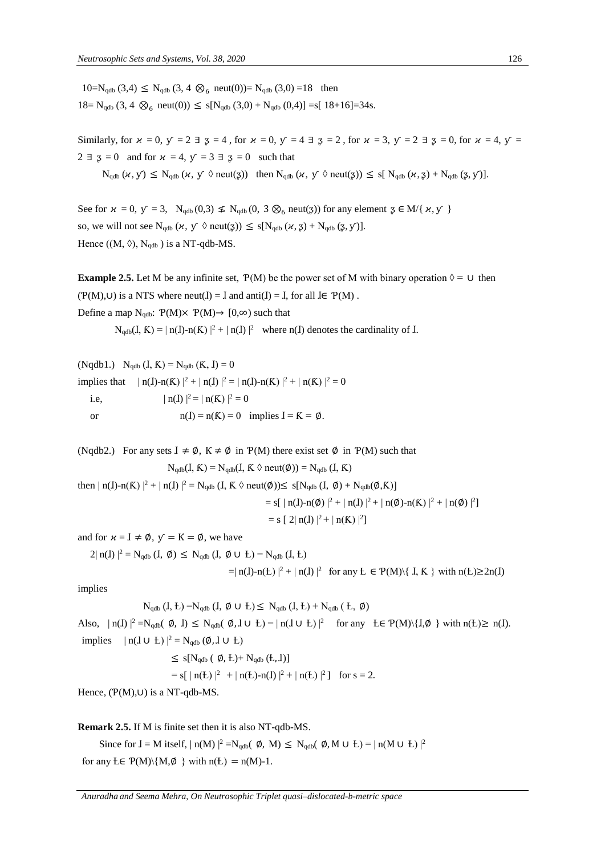$10=N_{qdb}$  (3,4)  $\leq N_{qdb}$  (3,4  $\otimes_{6}$  neut(0))= N<sub>qdb</sub> (3,0) =18 then  $18 = N_{qdb} (3, 4 \otimes_6 \text{neut}(0)) \leq s[N_{qdb} (3,0) + N_{qdb} (0,4)] = s[ 18+16]=34s.$ 

Similarly, for  $\alpha = 0$ ,  $\gamma = 2 \exists$   $\beta = 4$ , for  $\alpha = 0$ ,  $\gamma = 4 \exists$   $\beta = 2$ , for  $\alpha = 3$ ,  $\gamma = 2 \exists$   $\beta = 0$ , for  $\alpha = 4$ ,  $\gamma = 1$  $2 \exists \exists s = 0$  and for  $\kappa = 4$ ,  $\gamma = 3 \exists s = 0$  such that

 $N_{\text{qdb}}(\alpha, y) \leq N_{\text{qdb}}(\alpha, y \lozenge \text{neut}(3))$  then  $N_{\text{qdb}}(\alpha, y \lozenge \text{neut}(3)) \leq s[N_{\text{qdb}}(\alpha, 3) + N_{\text{qdb}}(3, y)]$ .

See for  $\alpha = 0$ ,  $y = 3$ , N<sub>qdb</sub> (0,3)  $\leq N_{qdb}$  (0, 3 \capp<sub>6</sub> neut(3)) for any element  $\beta \in M\{ \alpha, y' \}$ so, we will not see  $N_{qdb}$   $(\varkappa, y \ \lozenge \text{neut}(3)) \le s[N_{qdb} (\varkappa, 3) + N_{qdb} (3, y)].$ Hence  $((M, \Diamond), N_{qdb})$  is a NT-qdb-MS.

**Example 2.5.** Let M be any infinite set,  $P(M)$  be the power set of M with binary operation  $\Diamond = \cup$  then  $(\mathcal{P}(M), \cup)$  is a NTS where neut( $I$ ) =  $I$  and anti $(I)$  =  $I$ , for all  $I \in \mathcal{P}(M)$ . Define a map  $N_{qdb}$ :  $P(M) \times P(M) \rightarrow [0,\infty)$  such that

 $N_{qdb}(I, K) = |n(I)-n(K)|^2 + |n(I)|^2$  where n(I) denotes the cardinality of I.

(Nqdb1.)  $N_{\text{qdb}} (I, K) = N_{\text{qdb}} (K, I) = 0$ implies that  $| n(I)-n(K) |^2 + | n(I) |^2 = | n(I)-n(K) |^2 + | n(K) |^2 = 0$ i.e,  $|\text{n(I)}|^2 = |\text{n(K)}|^2 = 0$ or  $n(I) = n(K) = 0$  implies  $I = K = \emptyset$ .

(Nqdb2.) For any sets  $I \neq \emptyset$ ,  $K \neq \emptyset$  in  $P(M)$  there exist set  $\emptyset$  in  $P(M)$  such that

$$
N_{qdb}(I, K) = N_{qdb}(I, K \Diamond new(\emptyset)) = N_{qdb}(I, K)
$$

then  $| n(I)-n(K) |^2 + | n(I) |^2 = N_{\text{qdb}} (I, K \lozenge \text{neut}(\emptyset)) \le s[N_{\text{qdb}} (I, \emptyset) + N_{\text{qdb}}(\emptyset, K)]$ 

= s[ | n(I)-n(
$$
\emptyset
$$
) |<sup>2</sup> + | n(I) |<sup>2</sup> + | n( $\emptyset$ )-n(K) |<sup>2</sup> + | n( $\emptyset$ ) |<sup>2</sup>]  
= s [ 2| n(I) |<sup>2</sup> + | n(K) |<sup>2</sup>]

and for  $x = \mathbf{I} \neq \emptyset$ ,  $y = \mathbf{K} = \emptyset$ , we have

 $2| n(I) |^2 = N_{qdb} (I, \emptyset) \le N_{qdb} (I, \emptyset \cup L) = N_{qdb} (I, L)$ 

 $=$ | n(**I**)-n(**L**) |<sup>2</sup> + | n(**I**) |<sup>2</sup> for any **L**  $\in$  P(**M**)\{ **I**, **K** } with n(**L**) $\geq$ 2n(**I**)

implies

$$
N_{qdb} (I, E) = N_{qdb} (I, \emptyset \cup E) \leq N_{qdb} (I, E) + N_{qdb} (E, \emptyset)
$$

Also,  $|n(I)|^2 = N_{qdb}(\emptyset, I) \le N_{qdb}(\emptyset, I \cup L) = |n(I \cup L)|^2$  for any  $L \in P(M) \setminus \{I, \emptyset\}$  with  $n(L) \ge n(I)$ . implies  $| n(I \cup L) |^2 = N_{qdb} (\emptyset, I \cup L)$ 

> $\leq$  s[N<sub>qdb</sub> ( $\emptyset$ , Ł)+ N<sub>qdb</sub> (Ł, J)]  $=$  s[ | n(**L**) |<sup>2</sup> + | n(**L**)-n(**J**) |<sup>2</sup> + | n(**L**) |<sup>2</sup>] for s = 2.

Hence, (Ƥ(M),∪) is a NT-qdb-MS.

**Remark 2.5.** If M is finite set then it is also NT-qdb-MS.

Since for  $I = M$  itself,  $| n(M) |^2 = N_{qdb}(\phi, M) \le N_{qdb}(\phi, M \cup L) = | n(M \cup L) |^2$ for any  $E \in P(M) \setminus \{M, \emptyset\}$  with  $n(E) = n(M)-1$ .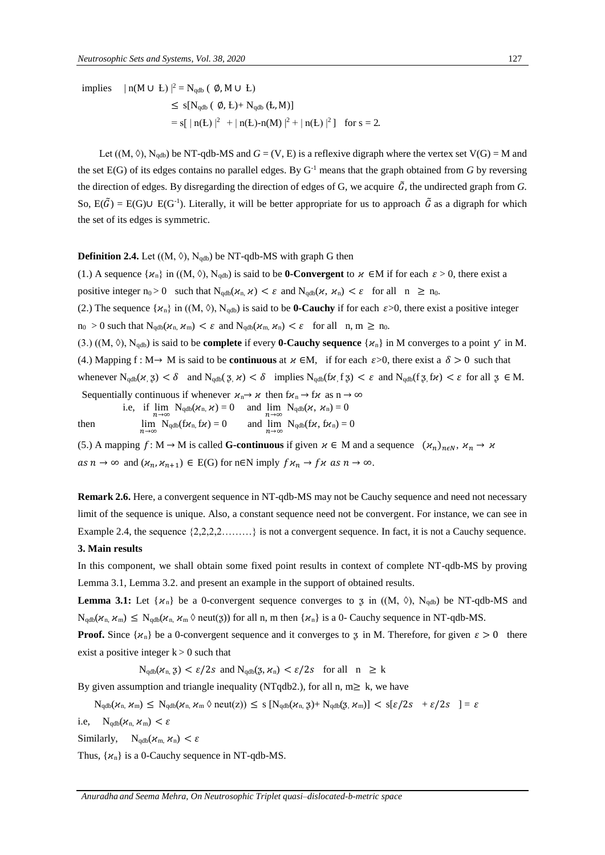implies  $| n(M \cup E) |^2 = N_{qdb} ( \emptyset, M \cup E)$  $\leq$  s[N<sub>qdb</sub> ( $\emptyset$ , Ł)+ N<sub>qdb</sub> (Ł, M)]  $=$  s[ | n(**L**) |<sup>2</sup> + | n(**L**)-n(**M**) |<sup>2</sup> + | n(**L**) |<sup>2</sup> | for s = 2.

Let  $((M, \Diamond), N_{\text{adh}})$  be NT-qdb-MS and  $G = (V, E)$  is a reflexive digraph where the vertex set  $V(G) = M$  and the set  $E(G)$  of its edges contains no parallel edges. By  $G<sup>-1</sup>$  means that the graph obtained from *G* by reversing the direction of edges. By disregarding the direction of edges of G, we acquire  $\tilde{G}$ , the undirected graph from G. So,  $E(\tilde{G}) = E(G) \cup E(G^{-1})$ . Literally, it will be better appropriate for us to approach  $\tilde{G}$  as a digraph for which the set of its edges is symmetric.

#### **Definition 2.4.** Let  $((M, \Diamond), N_{qdb})$  be NT-qdb-MS with graph G then

(1.) A sequence  $\{\varkappa_n\}$  in  $((M, \Diamond), N_{qdb})$  is said to be **0-Convergent** to  $\varkappa \in M$  if for each  $\varepsilon > 0$ , there exist a positive integer  $n_0 > 0$  such that  $N_{qdb}(\kappa_n, \kappa) < \varepsilon$  and  $N_{qdb}(\kappa, \kappa_n) < \varepsilon$  for all  $n \ge n_0$ . (2.) The sequence  $\{\varkappa_n\}$  in  $((M, \Diamond), N_{\text{qdb}})$  is said to be **0-Cauchy** if for each  $\varepsilon > 0$ , there exist a positive integer  $n_0 > 0$  such that  $N_{qdb}(\kappa_n, \kappa_m) < \varepsilon$  and  $N_{qdb}(\kappa_m, \kappa_n) < \varepsilon$  for all  $n, m \ge n_0$ . (3.)  $((M, \Diamond), N_{\text{adb}})$  is said to be **complete** if every **0-Cauchy sequence**  $\{\varkappa_n\}$  in M converges to a point  $\varphi$  in M. (4.) Mapping f : M  $\rightarrow$  M is said to be **continuous** at  $\kappa \in M$ , if for each  $\varepsilon > 0$ , there exist a  $\delta > 0$  such that whenever  $N_{\text{adb}}(\varkappa, 3) < \delta$  and  $N_{\text{adb}}(3, \varkappa) < \delta$  implies  $N_{\text{adb}}(f, 3) < \varepsilon$  and  $N_{\text{adb}}(f, 3, f\kappa) < \varepsilon$  for all  $3 \in M$ .

Sequentially continuous if whenever  $\chi_n \to \chi$  then  $f\chi_n \to f\chi$  as  $n \to \infty$ 

i.e, if  $\lim_{n \to \infty} N_{qdb}(\mathcal{H}_n, \mathcal{H}) = 0$  and  $\lim_{n \to \infty} N_{qdb}(\mathcal{H}, \mathcal{H}_n) = 0$ then  $\lim_{n \to \infty} N_{qdb}(f\mathcal{H}_n, f\mathcal{H}) = 0$  and  $\lim_{n \to \infty} N_{qdb}(f\mathcal{H}, f\mathcal{H}_n) = 0$ 

(5.) A mapping  $f: M \to M$  is called **G-continuous** if given  $\kappa \in M$  and a sequence  $(\kappa_n)_{n \in N}, \kappa_n \to \kappa$  $as n \to \infty$  and  $(\kappa_n, \kappa_{n+1}) \in E(G)$  for n∈N imply  $f\kappa_n \to f\kappa$  as  $n \to \infty$ .

**Remark 2.6.** Here, a convergent sequence in NT-qdb-MS may not be Cauchy sequence and need not necessary limit of the sequence is unique. Also, a constant sequence need not be convergent. For instance, we can see in Example 2.4, the sequence  $\{2,2,2,2,\ldots\}$  is not a convergent sequence. In fact, it is not a Cauchy sequence.

## **3. Main results**

In this component, we shall obtain some fixed point results in context of complete NT-qdb-MS by proving Lemma 3.1, Lemma 3.2. and present an example in the support of obtained results.

**Lemma 3.1:** Let  $\{x_n\}$  be a 0-convergent sequence converges to z in  $((M, \Diamond), N_{\text{adb}})$  be NT-qdb-MS and  $N_{\text{adb}}(\chi_{n}, \chi_{m}) \leq N_{\text{adb}}(\chi_{n}, \chi_{m} \circ \text{neut}(\chi))$  for all n, m then  $\{\chi_{n}\}\$ is a 0- Cauchy sequence in NT-qdb-MS.

**Proof.** Since  $\{x_n\}$  be a 0-convergent sequence and it converges to z in M. Therefore, for given  $\varepsilon > 0$  there exist a positive integer  $k > 0$  such that

 $N_{\text{qdb}}(\mathcal{X}_n, \mathbf{z}) < \varepsilon/2s$  and  $N_{\text{qdb}}(\mathbf{z}, \mathcal{X}_n) < \varepsilon/2s$  for all  $n \geq k$ 

By given assumption and triangle inequality (NTqdb2.), for all n,  $m > k$ , we have

 $N_{qdb}(\mathcal{H}_n, \mathcal{H}_m) \leq N_{qdb}(\mathcal{H}_n, \mathcal{H}_m \land \text{neut}(z)) \leq s [N_{qdb}(\mathcal{H}_n, \zeta) + N_{qdb}(\zeta, \mathcal{H}_m)] < s[\epsilon/2s + \epsilon/2s] = \epsilon$ 

i.e,  $N_{qdb}(\mathcal{H}_n, \mathcal{H}_m) < \varepsilon$ 

Similarly,  $N_{qdb}(\kappa_m, \kappa_n) < \varepsilon$ 

Thus,  $\{\varkappa_n\}$  is a 0-Cauchy sequence in NT-qdb-MS.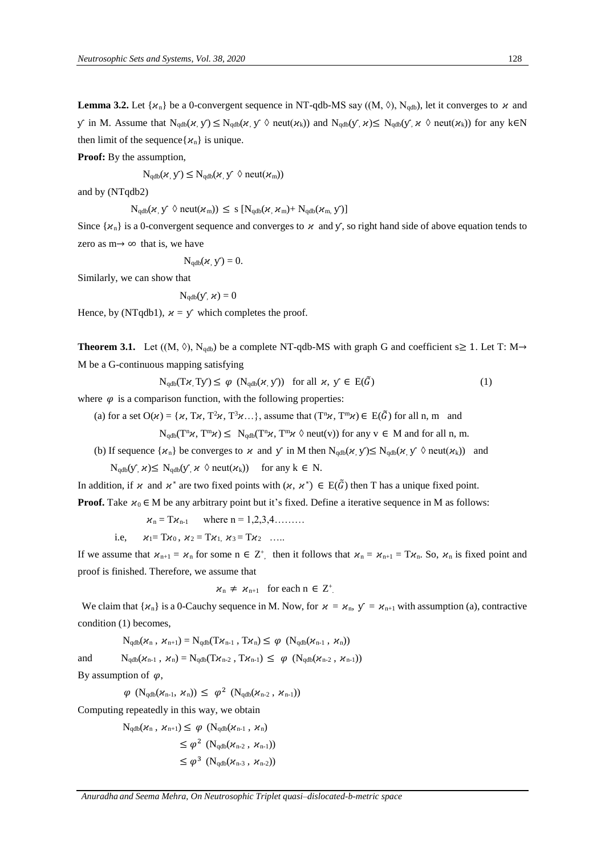**Lemma 3.2.** Let { $x_n$ } be a 0-convergent sequence in NT-qdb-MS say ((M,  $\Diamond$ ), N<sub>qdb</sub>), let it converges to  $x$  and  $\mathbf y$  in M. Assume that  $\mathbf N_{\text{qdb}}(\mathbf x, \mathbf y) \leq \mathbf N_{\text{qdb}}(\mathbf x, \mathbf y \mathbf \lozenge \text{neut}(\mathbf z_k))$  and  $\mathbf N_{\text{qdb}}(\mathbf y, \mathbf z) \leq \mathbf N_{\text{qdb}}(\mathbf y, \mathbf z \mathbf \lozenge \text{neut}(\mathbf z_k))$  for any k∈N then limit of the sequence { $\mathcal{H}_{n}$ } is unique.

**Proof:** By the assumption,

 $N_{\text{qdb}}(\varkappa, y) \leq N_{\text{qdb}}(\varkappa, y \land \text{neut}(\varkappa_{\text{m}}))$ 

and by (NTqdb2)

 $N_{\text{qdb}}(\varkappa, y \ \lozenge \text{neut}(\varkappa_{\text{m}})) \le s \ [N_{\text{qdb}}(\varkappa, \varkappa_{\text{m}}) + N_{\text{qdb}}(\varkappa_{\text{m}}, y)]$ 

Since  $\{\varkappa_n\}$  is a 0-convergent sequence and converges to  $\varkappa$  and  $\gamma$ , so right hand side of above equation tends to zero as  $m \rightarrow \infty$  that is, we have

$$
N_{qdb}(\varkappa, y) = 0.
$$

Similarly, we can show that

$$
\mathrm{N}_{\mathrm{qdb}}(\mathsf{y} ,\, \varkappa) = 0
$$

Hence, by (NTqdb1),  $x = y$  which completes the proof.

**Theorem 3.1.** Let  $((M, \Diamond), N_{qdb})$  be a complete NT-qdb-MS with graph G and coefficient s is 1. Let T: M  $\rightarrow$ M be a G-continuous mapping satisfying

$$
N_{qdb}(T\kappa, Ty) \le \varphi \ (N_{qdb}(\kappa, y)) \ \text{ for all } \kappa, \ y \in E(\tilde{G}) \tag{1}
$$

where  $\varphi$  is a comparison function, with the following properties:

(a) for a set  $O(\varkappa) = {\varkappa, T^2\varkappa, T^3\varkappa...}$ , assume that  $(T^n\varkappa, T^m\varkappa) \in E(\tilde{G})$  for all n, m and

 $N_{qdb}(T^n\chi, T^m\chi) \le N_{qdb}(T^n\chi, T^m\chi \text{ }\lozenge \text{ neut}(v))$  for any  $v \in M$  and for all n, m.

(b) If sequence  $\{\varkappa_n\}$  be converges to  $\varkappa$  and  $\gamma$  in M then  $N_{\text{adh}}(\varkappa, \gamma) \leq N_{\text{adh}}(\varkappa, \gamma \lozenge \text{neut}(\varkappa_k))$  and

 $N_{\text{adb}}(y, \varkappa) \leq N_{\text{adb}}(y, \varkappa \lozenge \text{neut}(\varkappa_k))$  for any  $k \in N$ .

In addition, if  $\chi$  and  $\chi^*$  are two fixed points with  $(\chi, \chi^*) \in E(\tilde{G})$  then T has a unique fixed point.

**Proof.** Take  $x_0 \in M$  be any arbitrary point but it's fixed. Define a iterative sequence in M as follows:

 $x_n = T x_{n-1}$  where  $n = 1, 2, 3, 4, \dots$ 

i.e,  $x_1 = Tx_0$ ,  $x_2 = Tx_1$ ,  $x_3 = Tx_2$  …..

If we assume that  $x_{n+1} = x_n$  for some  $n \in \mathbb{Z}^+$ , then it follows that  $x_n = x_{n+1} = Tx_n$ . So,  $x_n$  is fixed point and proof is finished. Therefore, we assume that

$$
\varkappa_n \neq \varkappa_{n+1}
$$
 for each  $n \in \mathbb{Z}^+$ .

We claim that  $\{x_n\}$  is a 0-Cauchy sequence in M. Now, for  $x = x_n$ ,  $y = x_{n+1}$  with assumption (a), contractive condition (1) becomes,

$$
N_{qdb}(\varkappa_n, \ \varkappa_{n+1}) = N_{qdb}(T\varkappa_{n-1} \ , \ T\varkappa_n) \leq \ \varphi \ \ (N_{qdb}(\varkappa_{n-1} \ , \ \varkappa_n))
$$

and  $N_{qdb}(\mathcal{H}_{n-1}, \mathcal{H}_n) = N_{qdb}(T\mathcal{H}_{n-2}, T\mathcal{H}_{n-1}) \leq \varphi (N_{qdb}(\mathcal{H}_{n-2}, \mathcal{H}_{n-1}))$ 

By assumption of  $\varphi$ ,

 $\varphi \, \left( \mathrm{N}_{\text{qdb}}(\varkappa_{\text{n-1}}, \, \varkappa_{\text{n}}) \right) \, \leq \, \varphi^{\, 2} \, \left( \mathrm{N}_{\text{qdb}}(\varkappa_{\text{n-2}} \, , \, \varkappa_{\text{n-1}}) \right)$ 

Computing repeatedly in this way, we obtain

 $N_{\text{qdb}}(\mathcal{H}_n, \mathcal{H}_{n+1}) \leq \varphi \left(N_{\text{qdb}}(\mathcal{H}_{n-1}, \mathcal{H}_n)\right)$ 

$$
\leq \varphi^2 \left( N_{qdb}(\boldsymbol{\varkappa}_{n\text{-}2} , \boldsymbol{\varkappa}_{n\text{-}1}) \right) \\ \leq \varphi^3 \left( N_{qdb}(\boldsymbol{\varkappa}_{n\text{-}3} , \boldsymbol{\varkappa}_{n\text{-}2}) \right)
$$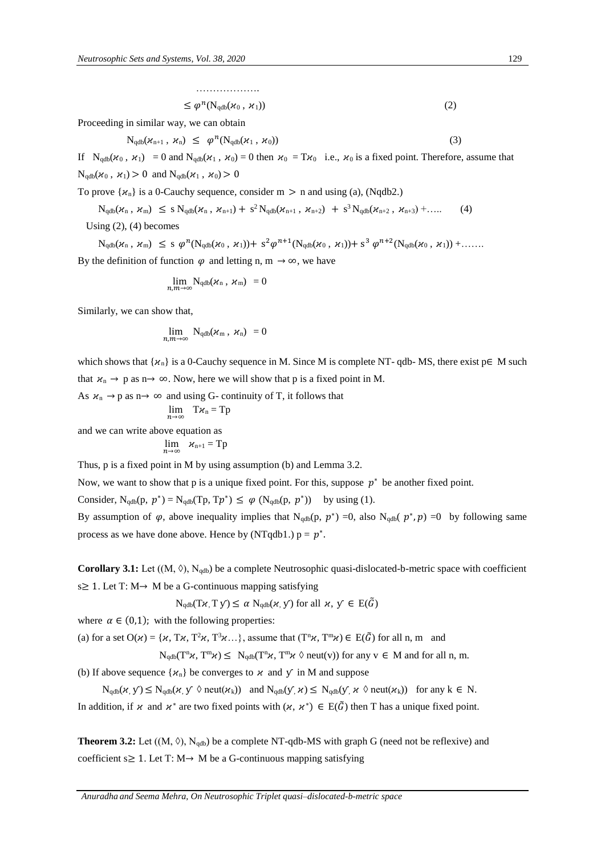$$
\leq \varphi^{n}(N_{qdb}(\varkappa_0, \varkappa_1))
$$
\n(2)

Proceeding in similar way, we can obtain

$$
N_{qdb}(\varkappa_{n+1}, \varkappa_n) \leq \varphi^n(N_{qdb}(\varkappa_1, \varkappa_0)) \tag{3}
$$

If  $N_{qdb}(\chi_0, \chi_1) = 0$  and  $N_{qdb}(\chi_1, \chi_0) = 0$  then  $\chi_0 = T\chi_0$  i.e.,  $\chi_0$  is a fixed point. Therefore, assume that  $N_{\text{qdb}}(\kappa_0, \kappa_1) > 0$  and  $N_{\text{qdb}}(\kappa_1, \kappa_0) > 0$ 

To prove  $\{\varkappa_n\}$  is a 0-Cauchy sequence, consider m  $>$  n and using (a), (Nqdb2.)

$$
N_{qdb}(\varkappa_n, \varkappa_m) \leq s \, N_{qdb}(\varkappa_n, \varkappa_{n+1}) + s^2 \, N_{qdb}(\varkappa_{n+1}, \varkappa_{n+2}) + s^3 \, N_{qdb}(\varkappa_{n+2}, \varkappa_{n+3}) + \dots. \tag{4}
$$

Using (2), (4) becomes

$$
N_{qdb}(\varkappa_n, \varkappa_m) \leq s \varphi^n(N_{qdb}(\varkappa_0, \varkappa_1)) + s^2 \varphi^{n+1}(N_{qdb}(\varkappa_0, \varkappa_1)) + s^3 \varphi^{n+2}(N_{qdb}(\varkappa_0, \varkappa_1)) + \dots
$$

By the definition of function  $\varphi$  and letting n, m  $\rightarrow \infty$ , we have

$$
\lim_{n,m\to\infty} {\rm N}_{\rm qdb}(\varkappa_{\rm n}\,,\ \varkappa_{\rm m}) \ = 0
$$

Similarly, we can show that,

$$
\lim_{n,m\to\infty}\;{\rm N}_{\rm qdb}(\varkappa_{\rm m}\;,\;\varkappa_{\rm n})\;=\,0
$$

which shows that  $\{x_n\}$  is a 0-Cauchy sequence in M. Since M is complete NT- qdb- MS, there exist  $p \in M$  such that  $x_n \to p$  as  $n \to \infty$ . Now, here we will show that p is a fixed point in M.

As  $\mathcal{H}_n \to p$  as  $n \to \infty$  and using G- continuity of T, it follows that  $\lim_{n\to\infty}$  T $\kappa_n = Tp$ 

and we can write above equation as

$$
\lim_{n\to\infty} \quad \varkappa_{\rm n+1} = {\rm T} {\rm p}
$$

Thus, p is a fixed point in M by using assumption (b) and Lemma 3.2.

Now, we want to show that p is a unique fixed point. For this, suppose  $p^*$  be another fixed point.

Consider,  $N_{qdb}(p, p^*) = N_{qdb}(Tp, Tp^*) \le \varphi (N_{qdb}(p, p^*))$  by using (1).

By assumption of  $\varphi$ , above inequality implies that N<sub>qdb</sub>(p,  $p^*$ ) =0, also N<sub>qdb</sub>( $p^*$ , p) =0 by following same process as we have done above. Hence by (NTqdb1.)  $p = p^*$ .

**Corollary 3.1:** Let  $((M, \Diamond), N_{qdb})$  be a complete Neutrosophic quasi-dislocated-b-metric space with coefficient s $\geq$  1. Let T: M $\rightarrow$  M be a G-continuous mapping satisfying

 $N_{\text{qdb}}(T\chi, T\chi) \leq \alpha N_{\text{qdb}}(\chi, \chi)$  for all  $\chi, \chi \in E(\tilde{G})$ 

where  $\alpha \in (0,1)$ ; with the following properties:

(a) for a set  $O(\varkappa) = {\varkappa, T\varkappa, T^2\varkappa, T^3\varkappa ...}$ , assume that  $(T^n\varkappa, T^m\varkappa) \in E(\tilde{G})$  for all n, m and

 $N_{qdb}(T^n\chi, T^m\chi) \leq N_{qdb}(T^n\chi, T^m\chi \text{ }\otimes \text{neut}(v))$  for any  $v \in M$  and for all n, m.

(b) If above sequence  $\{x_n\}$  be converges to  $x$  and  $y$  in M and suppose

 $N_{qdb}(\varkappa, y) \leq N_{qdb}(\varkappa, y \text{ } \Diamond \text{neut}(\varkappa_k))$  and  $N_{qdb}(y, \varkappa) \leq N_{qdb}(y, \varkappa \text{ } \Diamond \text{neut}(\varkappa_k))$  for any  $k \in N$ . In addition, if  $\chi$  and  $\chi^*$  are two fixed points with  $(\chi, \chi^*) \in E(\tilde{G})$  then T has a unique fixed point.

**Theorem 3.2:** Let  $((M, \Diamond), N_{qdb})$  be a complete NT-qdb-MS with graph G (need not be reflexive) and coefficient s $\geq 1$ . Let T: M $\rightarrow$  M be a G-continuous mapping satisfying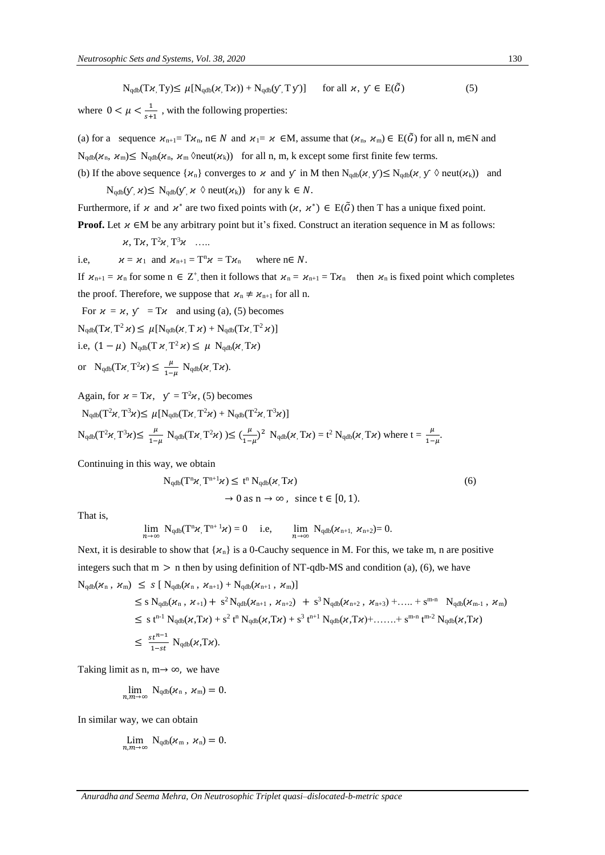$$
N_{qdb}(T\varkappa, Ty) \le \mu[N_{qdb}(\varkappa, Tx)) + N_{qdb}(y, Ty)] \quad \text{for all } \varkappa, y \in E(\tilde{G})
$$
 (5)

where  $0 < \mu < \frac{1}{\lambda}$  $\frac{1}{s+1}$ , with the following properties:

(a) for a sequence  $\chi_{n+1} = T\chi_n$ , n∈ N and  $\chi_1 = \chi$  ∈M, assume that  $(\chi_n, \chi_m) \in E(\tilde{G})$  for all n, m∈N and  $N_{\text{adb}}(\mathcal{X}_n, \mathcal{X}_m) \leq N_{\text{adb}}(\mathcal{X}_n, \mathcal{X}_m \text{ \(\mathcal{Y}_k))$  for all n, m, k except some first finite few terms.

(b) If the above sequence  $\{\chi_n\}$  converges to  $\chi$  and  $\chi$  in M then  $N_{\text{qdb}}(\chi, \chi) \leq N_{\text{qdb}}(\chi, \chi) \circ \text{neut}(\chi_k)$  and  $N_{qdb}(y, \varkappa) \leq N_{qdb}(y, \varkappa \lozenge \text{neut}(\varkappa_k))$  for any  $k \in N$ .

Furthermore, if  $\chi$  and  $\chi^*$  are two fixed points with  $(\chi, \chi^*) \in E(\tilde{G})$  then T has a unique fixed point. **Proof.** Let  $\chi \in M$  be any arbitrary point but it's fixed. Construct an iteration sequence in M as follows:

$$
\varkappa,\, T\varkappa,\, T^2\varkappa,\, T^3\varkappa\quad \ldots.
$$

i.e, 
$$
\kappa = \kappa_1
$$
 and  $\kappa_{n+1} = T^n \kappa = T \kappa_n$  where  $n \in N$ .

If  $x_{n+1} = x_n$  for some  $n \in \mathbb{Z}^+$ , then it follows that  $x_n = x_{n+1} = Tx_n$  then  $x_n$  is fixed point which completes the proof. Therefore, we suppose that  $\varkappa_n \neq \varkappa_{n+1}$  for all n.

For  $u = u$ ,  $y = Tx$  and using (a), (5) becomes

 $N_{\text{qdb}}(T\varkappa, T^2 \varkappa) \leq \mu[N_{\text{qdb}}(\varkappa, T \varkappa) + N_{\text{qdb}}(T\varkappa, T^2 \varkappa)]$ 

i.e, 
$$
(1 - \mu) N_{qdb}(T \varkappa, T^2 \varkappa) \leq \mu N_{qdb}(\varkappa, T \varkappa)
$$

or  $N_{qdb}(T\mu, T^2\mu) \leq \frac{\mu}{4}$  $\frac{\mu}{1-\mu}$  N<sub>qdb</sub> $(\varkappa, T\varkappa)$ .

Again, for  $\chi = T\chi$ ,  $\gamma = T^2\chi$ , (5) becomes

$$
N_{qdb}(T^2 \varkappa, T^3 \varkappa) \leq \mu[N_{qdb}(T \varkappa, T^2 \varkappa) + N_{qdb}(T^2 \varkappa, T^3 \varkappa)]
$$
  
\n
$$
N_{qdb}(T^2 \varkappa, T^3 \varkappa) \leq \frac{\mu}{1-\mu} N_{qdb}(T \varkappa, T^2 \varkappa) \geq (\frac{\mu}{1-\mu})^2 N_{qdb}(\varkappa, T \varkappa) = t^2 N_{qdb}(\varkappa, T \varkappa) \text{ where } t = \frac{\mu}{1-\mu}.
$$

Continuing in this way, we obtain

$$
N_{qdb}(T^n \varkappa, T^{n+1} \varkappa) \le t^n N_{qdb}(\varkappa, T \varkappa)
$$
  
\n
$$
\to 0 \text{ as } n \to \infty, \text{ since } t \in [0, 1).
$$
\n(6)

That is,

$$
\lim_{n\to\infty} \; N_{qdb}(T^n\varkappa,T^{n+1}\varkappa)=0 \quad \ \text{i.e,}\quad \ \ \lim_{n\to\infty} \; N_{qdb}(\varkappa_{n+1,}\;\varkappa_{n+2}){=} \;0.
$$

Next, it is desirable to show that  $\{x_n\}$  is a 0-Cauchy sequence in M. For this, we take m, n are positive integers such that  $m > n$  then by using definition of NT-qdb-MS and condition (a), (6), we have  $N_{qdb}(\mathcal{X}_n, \mathcal{X}_m) \leq s [\ N_{qdb}(\mathcal{X}_n, \mathcal{X}_{n+1}) + N_{qdb}(\mathcal{X}_{n+1}, \mathcal{X}_m)]$ 

$$
\leq s \ N_{qdb}(\varkappa_{n}, \varkappa_{+1}) + s^{2} N_{qdb}(\varkappa_{n+1}, \varkappa_{n+2}) + s^{3} N_{qdb}(\varkappa_{n+2}, \varkappa_{n+3}) + .... + s^{m-n} N_{qdb}(\varkappa_{m-1}, \varkappa_{m}) \n\leq s \ t^{n-1} N_{qdb}(\varkappa_{+} T \varkappa) + s^{2} \ t^{n} N_{qdb}(\varkappa_{+} T \varkappa) + s^{3} \ t^{n+1} N_{qdb}(\varkappa_{+} T \varkappa) + .... + s^{m-n} \ t^{m-2} N_{qdb}(\varkappa_{+} T \varkappa) \n\leq \frac{s t^{n-1}}{1 - s t} N_{qdb}(\varkappa_{+} T \varkappa).
$$

Taking limit as n,  $m \rightarrow \infty$ , we have

$$
\lim_{n,m\to\infty} N_{\text{qdb}}(\varkappa_n\,,\,\varkappa_m)=0.
$$

In similar way, we can obtain

$$
\lim_{n,m\to\infty}\,{\rm N}_{\rm qdb}(\varkappa_{\rm m}\,,\ \varkappa_{\rm n})=0.
$$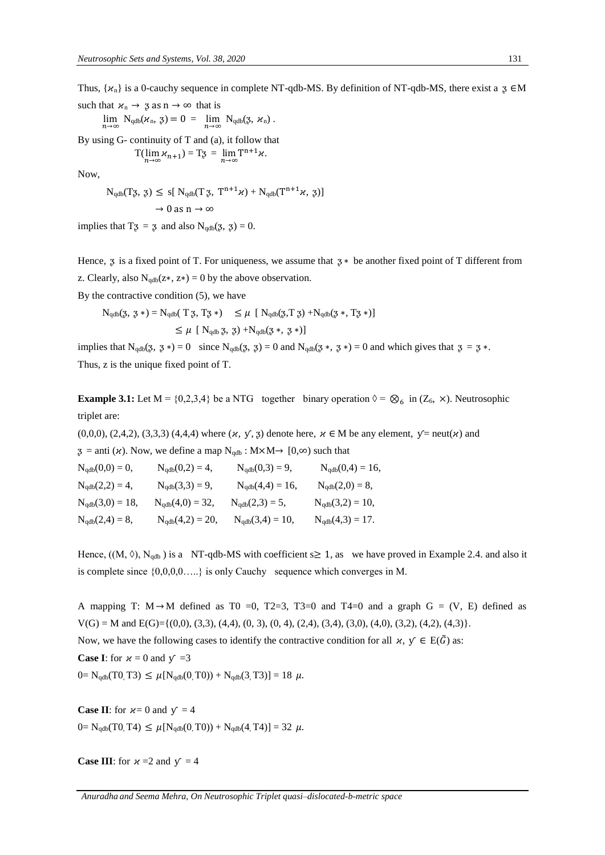Thus,  $\{x_n\}$  is a 0-cauchy sequence in complete NT-qdb-MS. By definition of NT-qdb-MS, there exist a  $\infty \in M$ 

such that  $u_n \to \bar{g}$  as  $n \to \infty$  that is

 $\lim_{n\to\infty} N_{\text{qdb}}(\varkappa_n, \, \mathfrak{z}) = 0 = \lim_{n\to\infty} N_{\text{qdb}}(\mathfrak{z}, \, \varkappa_n)$ .

By using  $G$ - continuity of  $T$  and (a), it follow that  $T(\lim_{n\to\infty} \mathcal{H}_{n+1}) = T\mathfrak{Z} = \lim_{n\to\infty} T^{n+1}\mathcal{H}.$ 

Now,

$$
N_{qdb}(T\mathfrak{Z}, \mathfrak{Z}) \leq s[\ N_{qdb}(T\mathfrak{Z}, T^{n+1}\mathcal{H}) + N_{qdb}(T^{n+1}\mathcal{H}, \mathfrak{Z})] \\ \rightarrow 0 \text{ as } n \rightarrow \infty
$$

implies that  $T\mathfrak{z} = \mathfrak{z}$  and also  $N_{qdb}(\mathfrak{z}, \mathfrak{z}) = 0$ .

Hence,  $\bar{z}$  is a fixed point of T. For uniqueness, we assume that  $\bar{z} *$  be another fixed point of T different from z. Clearly, also  $N_{\text{qdb}}(z*, z*) = 0$  by the above observation.

By the contractive condition (5), we have

$$
\begin{array}{ll} N_{qdb}(\mathfrak{Z}, \, \mathfrak{Z} \, * ) = N_{qdb}(\; T \; \mathfrak{Z}, \, T \mathfrak{Z} \, * ) & \leq \mu \; \left[ \; N_{qdb}(\mathfrak{Z}, T \; \mathfrak{Z}) + N_{qdb}(\mathfrak{Z} \, * , \, T \mathfrak{Z} \, * ) \right] \\ \\ & \leq \mu \; \left[ \; N_{qdb} \; \mathfrak{Z}, \, \, \mathfrak{Z}) + N_{qdb}(\mathfrak{Z} \, * , \, \, \mathfrak{Z} \, * ) \right] \end{array}
$$

implies that  $N_{qdb}(\xi, \xi) = 0$  since  $N_{qdb}(\xi, \xi) = 0$  and  $N_{qdb}(\xi, \xi, \xi) = 0$  and which gives that  $\xi = \xi$ . Thus, z is the unique fixed point of T.

**Example 3.1:** Let  $M = \{0,2,3,4\}$  be a NTG together binary operation  $\Diamond = \bigotimes_6$  in  $(Z_6, \times)$ . Neutrosophic triplet are:

 $(0,0,0)$ ,  $(2,4,2)$ ,  $(3,3,3)$   $(4,4,4)$  where  $(\varkappa, \, \mathsf{y}, \, \mathsf{z})$  denote here,  $\varkappa \in M$  be any element,  $\mathsf{y} = \text{neut}(\varkappa)$  and  $\beta$  = anti ( $\varkappa$ ). Now, we define a map N<sub>qdb</sub> : M×M→ [0, $\infty$ ) such that

| $N_{qdb}(0,0) = 0,$  | $N_{qdb}(0,2) = 4,$  | $N_{qdb}(0,3) = 9,$  | $N_{qdb}(0,4) = 16,$ |
|----------------------|----------------------|----------------------|----------------------|
| $N_{qdb}(2,2) = 4,$  | $N_{qdb}(3,3) = 9,$  | $N_{qdb}(4,4) = 16,$ | $N_{qdb}(2,0) = 8,$  |
| $N_{qdb}(3,0) = 18,$ | $N_{qdb}(4,0) = 32,$ | $N_{qdb}(2,3) = 5,$  | $N_{qdb}(3,2) = 10,$ |
| $N_{qdb}(2,4) = 8,$  | $N_{qdb}(4,2) = 20,$ | $N_{qdb}(3,4) = 10,$ | $N_{qdb}(4,3) = 17.$ |

Hence,  $((M, \Diamond), N_{qdb})$  is a NT-qdb-MS with coefficient s and  $s \geq 1$ , as we have proved in Example 2.4. and also it is complete since {0,0,0,0…..} is only Cauchy sequence which converges in M.

A mapping T:  $M \rightarrow M$  defined as T0 = 0, T2=3, T3=0 and T4=0 and a graph G = (V, E) defined as  $V(G) = M$  and  $E(G) = \{(0,0), (3,3), (4,4), (0,3), (0,4), (2,4), (3,4), (3,0), (4,0), (3,2), (4,2), (4,3)\}.$ Now, we have the following cases to identify the contractive condition for all  $\chi$ ,  $\gamma \in E(\tilde{G})$  as: **Case I**: for  $x = 0$  and  $y = 3$  $0 = N_{\text{qdb}}(T0, T3) \leq \mu [N_{\text{qdb}}(0, T0)) + N_{\text{qdb}}(3, T3)] = 18 \mu.$ 

**Case II**: for  $x=0$  and  $y = 4$  $0 = N_{qdb}(T0, T4) \leq \mu[N_{qdb}(0, T0)) + N_{qdb}(4, T4) = 32 \mu.$ 

**Case III**: for  $x = 2$  and  $y = 4$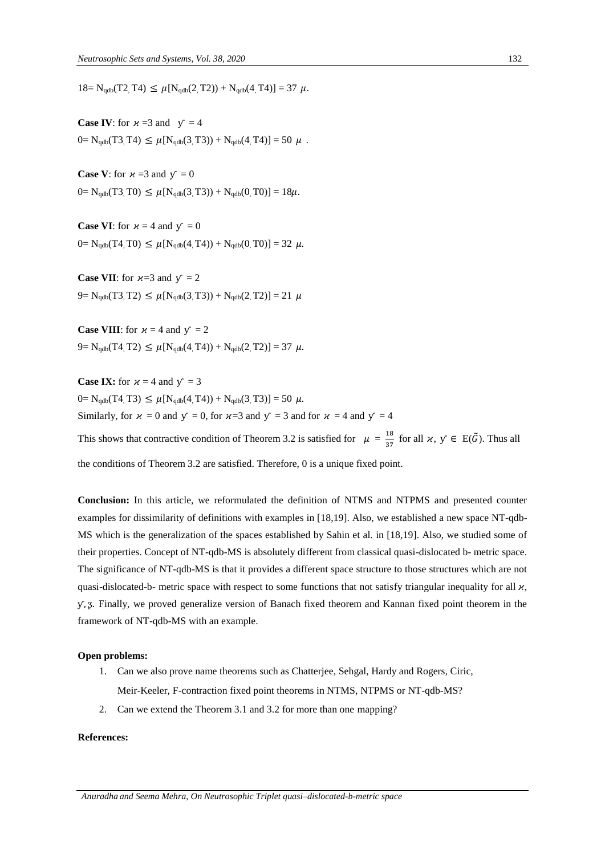$18= N_{\text{qdb}}(T2, T4) \leq \mu[N_{\text{qdb}}(2, T2)) + N_{\text{qdb}}(4, T4)] = 37 \mu.$ 

**Case IV:** for  $x = 3$  and  $y = 4$  $0 = N_{qdb}(T3, T4) \leq \mu[N_{qdb}(3, T3)) + N_{qdb}(4, T4) = 50 \mu$ .

**Case V:** for  $x = 3$  and  $y' = 0$  $0 = N_{qdb}(T3, T0) \leq \mu[N_{qdb}(3, T3)) + N_{qdb}(0, T0)] = 18\mu.$ 

**Case VI**: for  $x = 4$  and  $y = 0$  $0 = N_{qdb}(T4, T0) \leq \mu[N_{qdb}(4, T4)) + N_{qdb}(0, T0)] = 32 \mu.$ 

**Case VII**: for  $x=3$  and  $y = 2$  $9 = N_{qdb}(T3, T2) \leq \mu[N_{qdb}(3, T3)) + N_{qdb}(2, T2)] = 21 \mu$ 

**Case VIII**: for  $x = 4$  and  $y = 2$  $9 = N_{qdb}(T4, T2) \leq \mu[N_{qdb}(4, T4)) + N_{qdb}(2, T2)] = 37 \mu.$ 

**Case IX:** for  $x = 4$  and  $y = 3$  $0 = N_{\text{qdb}}(T4, T3) \leq \mu[N_{\text{qdb}}(4, T4)) + N_{\text{qdb}}(3, T3)] = 50 \mu.$ Similarly, for  $\kappa = 0$  and  $\gamma = 0$ , for  $\kappa = 3$  and  $\gamma = 3$  and for  $\kappa = 4$  and  $\gamma = 4$ This shows that contractive condition of Theorem 3.2 is satisfied for  $\mu = \frac{18}{27}$  $\frac{18}{37}$  for all  $\varkappa$ ,  $y \in E(\tilde{G})$ . Thus all the conditions of Theorem 3.2 are satisfied. Therefore, 0 is a unique fixed point.

**Conclusion:** In this article, we reformulated the definition of NTMS and NTPMS and presented counter examples for dissimilarity of definitions with examples in [18,19]. Also, we established a new space NT-qdb-MS which is the generalization of the spaces established by Sahin et al. in [18,19]. Also, we studied some of their properties. Concept of NT-qdb-MS is absolutely different from classical quasi-dislocated b- metric space. The significance of NT-qdb-MS is that it provides a different space structure to those structures which are not quasi-dislocated-b- metric space with respect to some functions that not satisfy triangular inequality for all  $\chi$ ,  $y$ ,  $z$ . Finally, we proved generalize version of Banach fixed theorem and Kannan fixed point theorem in the framework of NT-qdb-MS with an example.

#### **Open problems:**

- 1. Can we also prove name theorems such as Chatterjee, Sehgal, Hardy and Rogers, Ciric, Meir-Keeler, F-contraction fixed point theorems in NTMS, NTPMS or NT-qdb-MS?
- 2. Can we extend the Theorem 3.1 and 3.2 for more than one mapping?

#### **References:**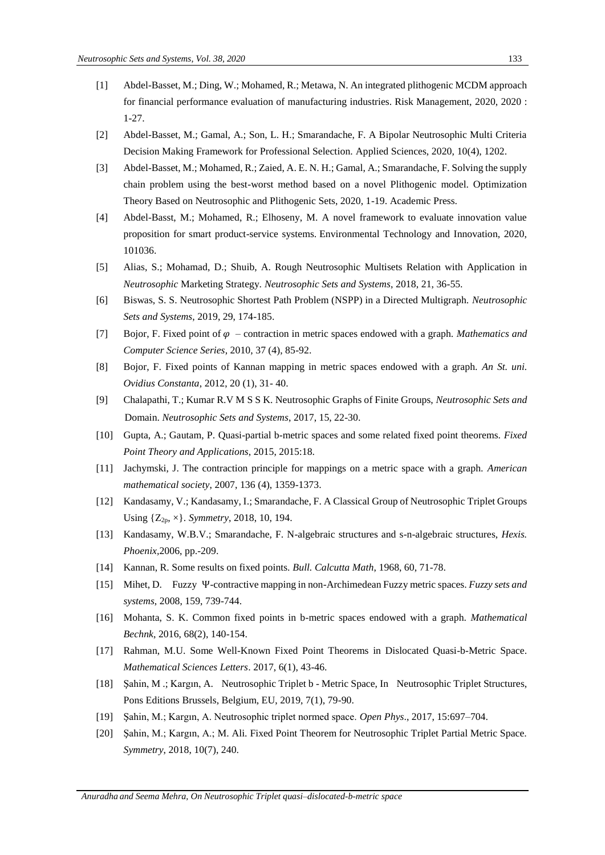- [1] Abdel-Basset, M.; Ding, W.; Mohamed, R.; Metawa, N. An integrated plithogenic MCDM approach for financial performance evaluation of manufacturing industries. Risk Management, 2020, 2020 : 1-27.
- [2] Abdel-Basset, M.; Gamal, A.; Son, L. H.; Smarandache, F. A Bipolar Neutrosophic Multi Criteria Decision Making Framework for Professional Selection. Applied Sciences, 2020, 10(4), 1202.
- [3] Abdel-Basset, M.; Mohamed, R.; Zaied, A. E. N. H.; Gamal, A.; Smarandache, F. Solving the supply chain problem using the best-worst method based on a novel Plithogenic model. Optimization Theory Based on Neutrosophic and Plithogenic Sets, 2020, 1-19. Academic Press.
- [4] Abdel-Basst, M.; Mohamed, R.; Elhoseny, M. A novel framework to evaluate innovation value proposition for smart product-service systems. Environmental Technology and Innovation, 2020, 101036.
- [5] Alias, S.; Mohamad, D.; Shuib, A. Rough Neutrosophic Multisets Relation with Application in *Neutrosophic* Marketing Strategy. *Neutrosophic Sets and Systems*, 2018, 21, 36-55.
- [6] Biswas, S. S. Neutrosophic Shortest Path Problem (NSPP) in a Directed Multigraph. *Neutrosophic Sets and Systems*, 2019, 29, 174-185.
- [7] Bojor, F. Fixed point of  $\varphi$  contraction in metric spaces endowed with a graph. *Mathematics and Computer Science Series*, 2010, 37 (4), 85-92.
- [8] Bojor, F. Fixed points of Kannan mapping in metric spaces endowed with a graph. *An St. uni. Ovidius Constanta*, 2012, 20 (1), 31- 40.
- [9] Chalapathi, T.; Kumar R.V M S S K. Neutrosophic Graphs of Finite Groups, *Neutrosophic Sets and*  Domain. *Neutrosophic Sets and Systems*, 2017, 15, 22-30.
- [10] Gupta, A.; Gautam, P. Quasi-partial b-metric spaces and some related fixed point theorems. *Fixed Point Theory and Applications*, 2015, 2015:18.
- [11] Jachymski, J. The contraction principle for mappings on a metric space with a graph. *American mathematical society*, 2007, 136 (4), 1359-1373.
- [12] Kandasamy, V.; Kandasamy, I.; Smarandache, F. A Classical Group of Neutrosophic Triplet Groups Using {Z2p, ×}. *Symmetry*, 2018, 10, 194.
- [13] Kandasamy, W.B.V.; Smarandache, F. N-algebraic structures and s-n-algebraic structures, *Hexis. Phoenix,*2006, pp.-209.
- [14] Kannan, R. Some results on fixed points. *Bull. Calcutta Math*, 1968, 60, 71-78.
- [15] Mihet, D. Fuzzy Ѱ-contractive mapping in non-Archimedean Fuzzy metric spaces. *Fuzzy sets and systems*, 2008, 159, 739-744.
- [16] Mohanta, S. K. Common fixed points in b-metric spaces endowed with a graph. *Mathematical Bechnk*, 2016, 68(2), 140-154.
- [17] Rahman, M.U. Some Well-Known Fixed Point Theorems in Dislocated Quasi-b-Metric Space. *Mathematical Sciences Letters*. 2017, 6(1), 43-46.
- [18] Şahin, M .; Kargın, A. Neutrosophic Triplet b Metric Space, In Neutrosophic Triplet Structures, Pons Editions Brussels, Belgium, EU, 2019, 7(1), 79-90.
- [19] Şahin, M.; Kargın, A. Neutrosophic triplet normed space. *Open Phys*., 2017, 15:697–704.
- [20] Şahin, M.; Kargın, A.; M. Ali. Fixed Point Theorem for Neutrosophic Triplet Partial Metric Space. *Symmetry*, 2018, 10(7), 240.